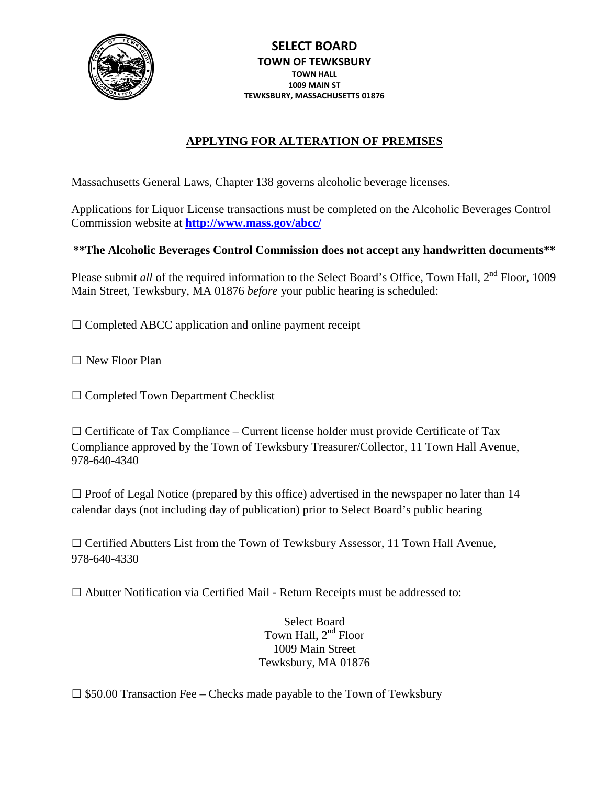

# **APPLYING FOR ALTERATION OF PREMISES**

Massachusetts General Laws, Chapter 138 governs alcoholic beverage licenses.

Applications for Liquor License transactions must be completed on the Alcoholic Beverages Control Commission website at **<http://www.mass.gov/abcc/>**

### **\*\*The Alcoholic Beverages Control Commission does not accept any handwritten documents\*\***

Please submit *all* of the required information to the Select Board's Office, Town Hall, 2<sup>nd</sup> Floor, 1009 Main Street, Tewksbury, MA 01876 *before* your public hearing is scheduled:

 $\square$  Completed ABCC application and online payment receipt

□ New Floor Plan

□ Completed Town Department Checklist

 $\Box$  Certificate of Tax Compliance – Current license holder must provide Certificate of Tax Compliance approved by the Town of Tewksbury Treasurer/Collector, 11 Town Hall Avenue, 978-640-4340

 $\Box$  Proof of Legal Notice (prepared by this office) advertised in the newspaper no later than 14 calendar days (not including day of publication) prior to Select Board's public hearing

 $\square$  Certified Abutters List from the Town of Tewksbury Assessor, 11 Town Hall Avenue, 978-640-4330

 $\square$  Abutter Notification via Certified Mail - Return Receipts must be addressed to:

Select Board Town Hall, 2<sup>nd</sup> Floor 1009 Main Street Tewksbury, MA 01876

 $\square$  \$50.00 Transaction Fee – Checks made payable to the Town of Tewksbury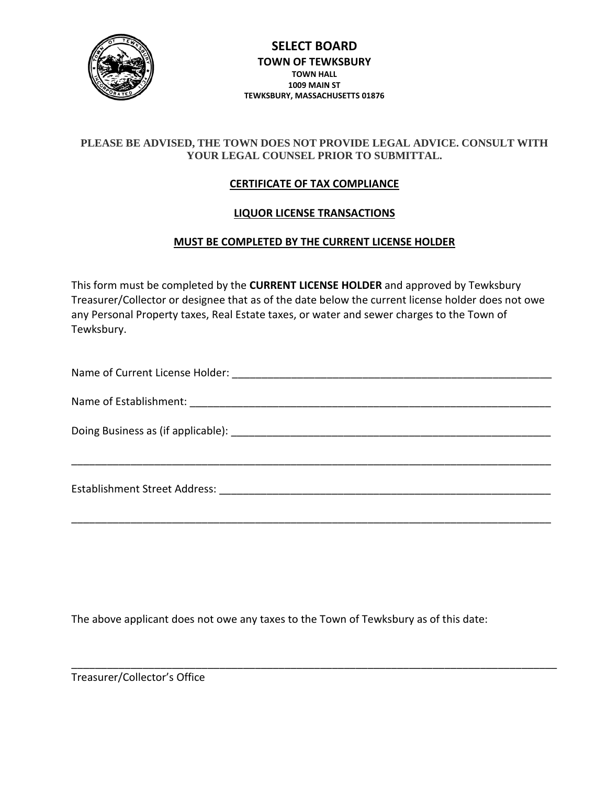

### **PLEASE BE ADVISED, THE TOWN DOES NOT PROVIDE LEGAL ADVICE. CONSULT WITH YOUR LEGAL COUNSEL PRIOR TO SUBMITTAL.**

### **CERTIFICATE OF TAX COMPLIANCE**

#### **LIQUOR LICENSE TRANSACTIONS**

#### **MUST BE COMPLETED BY THE CURRENT LICENSE HOLDER**

This form must be completed by the **CURRENT LICENSE HOLDER** and approved by Tewksbury Treasurer/Collector or designee that as of the date below the current license holder does not owe any Personal Property taxes, Real Estate taxes, or water and sewer charges to the Town of Tewksbury.

| Establishment Street Address: The Manuscript of the Stablishment Street Address: |
|----------------------------------------------------------------------------------|
|                                                                                  |
|                                                                                  |

The above applicant does not owe any taxes to the Town of Tewksbury as of this date:

\_\_\_\_\_\_\_\_\_\_\_\_\_\_\_\_\_\_\_\_\_\_\_\_\_\_\_\_\_\_\_\_\_\_\_\_\_\_\_\_\_\_\_\_\_\_\_\_\_\_\_\_\_\_\_\_\_\_\_\_\_\_\_\_\_\_\_\_\_\_\_\_\_\_\_\_\_\_\_\_\_\_

Treasurer/Collector's Office